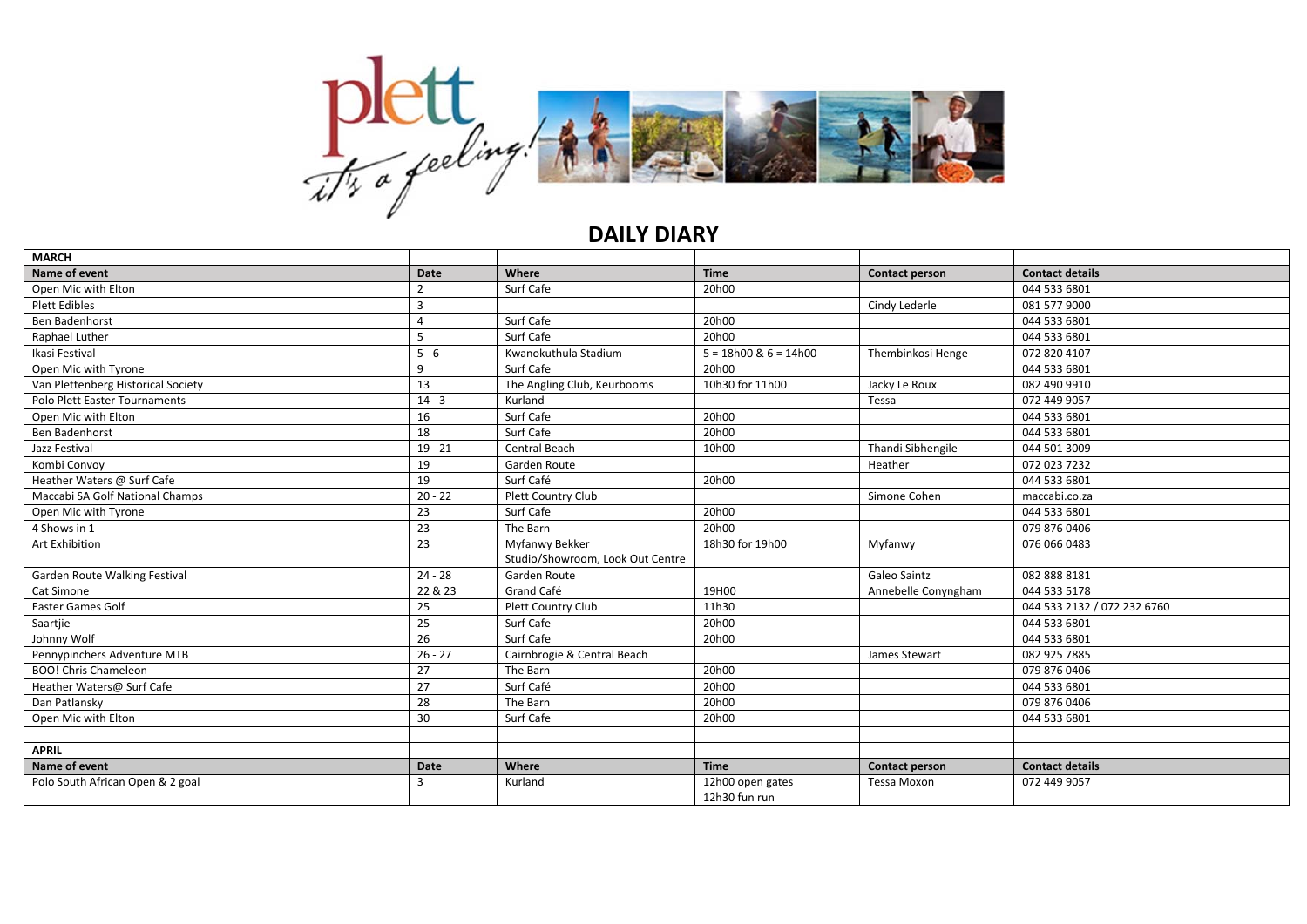

## **DAILY DIARY**

| <b>MARCH</b>                       |              |                                  |                                   |                       |                             |
|------------------------------------|--------------|----------------------------------|-----------------------------------|-----------------------|-----------------------------|
| Name of event                      | <b>Date</b>  | Where                            | <b>Time</b>                       | <b>Contact person</b> | <b>Contact details</b>      |
| Open Mic with Elton                |              | Surf Cafe                        | 20h00                             |                       | 044 533 6801                |
| <b>Plett Edibles</b>               |              |                                  |                                   | Cindy Lederle         | 081 577 9000                |
| <b>Ben Badenhorst</b>              |              | Surf Cafe                        | 20h00                             |                       | 044 533 6801                |
| Raphael Luther                     | 5            | Surf Cafe                        | 20h00                             |                       | 044 533 6801                |
| Ikasi Festival                     | $5 - 6$      | Kwanokuthula Stadium             | $5 = 18h00$ & $6 = 14h00$         | Thembinkosi Henge     | 072 820 4107                |
| Open Mic with Tyrone               | 9            | Surf Cafe                        | 20h00                             |                       | 044 533 6801                |
| Van Plettenberg Historical Society | 13           | The Angling Club, Keurbooms      | 10h30 for 11h00                   | Jacky Le Roux         | 082 490 9910                |
| Polo Plett Easter Tournaments      | $14 - 3$     | Kurland                          |                                   | Tessa                 | 072 449 9057                |
| Open Mic with Elton                | 16           | Surf Cafe                        | 20h00                             |                       | 044 533 6801                |
| Ben Badenhorst                     | 18           | Surf Cafe                        | 20h00                             |                       | 044 533 6801                |
| Jazz Festival                      | $19 - 21$    | <b>Central Beach</b>             | 10h00                             | Thandi Sibhengile     | 044 501 3009                |
| Kombi Convoy                       | 19           | Garden Route                     |                                   | Heather               | 072 023 7232                |
| Heather Waters @ Surf Cafe         | 19           | Surf Café                        | 20h00                             |                       | 044 533 6801                |
| Maccabi SA Golf National Champs    | $20 - 22$    | Plett Country Club               |                                   | Simone Cohen          | maccabi.co.za               |
| Open Mic with Tyrone               | 23           | Surf Cafe                        | 20h00                             |                       | 044 533 6801                |
| 4 Shows in 1                       | 23           | The Barn                         | 20h00                             |                       | 079 876 0406                |
| Art Exhibition                     | 23           | Myfanwy Bekker                   | 18h30 for 19h00                   | Myfanwy               | 076 066 0483                |
|                                    |              | Studio/Showroom, Look Out Centre |                                   |                       |                             |
| Garden Route Walking Festival      | $24 - 28$    | Garden Route                     |                                   | Galeo Saintz          | 0828888181                  |
| Cat Simone                         | 22 & 23      | Grand Café                       | 19H00                             | Annebelle Conyngham   | 044 533 5178                |
| <b>Easter Games Golf</b>           | 25           | Plett Country Club               | 11h30                             |                       | 044 533 2132 / 072 232 6760 |
| Saartjie                           | 25           | Surf Cafe                        | 20h00                             |                       | 044 533 6801                |
| Johnny Wolf                        | 26           | Surf Cafe                        | 20h00                             |                       | 044 533 6801                |
| Pennypinchers Adventure MTB        | $26 - 27$    | Cairnbrogie & Central Beach      |                                   | James Stewart         | 082 925 7885                |
| <b>BOO!</b> Chris Chameleon        | 27           | The Barn                         | 20h00                             |                       | 079 876 0406                |
| Heather Waters@ Surf Cafe          | 27           | Surf Café                        | 20h00                             |                       | 044 533 6801                |
| Dan Patlansky                      | 28           | The Barn                         | 20h00                             |                       | 079 876 0406                |
| Open Mic with Elton                | 30           | Surf Cafe                        | 20h00                             |                       | 044 533 6801                |
|                                    |              |                                  |                                   |                       |                             |
| <b>APRIL</b>                       |              |                                  |                                   |                       |                             |
| Name of event                      | <b>Date</b>  | Where                            | <b>Time</b>                       | Contact person        | <b>Contact details</b>      |
| Polo South African Open & 2 goal   | $\mathbf{a}$ | Kurland                          | 12h00 open gates<br>12h30 fun run | Tessa Moxon           | 072 449 9057                |